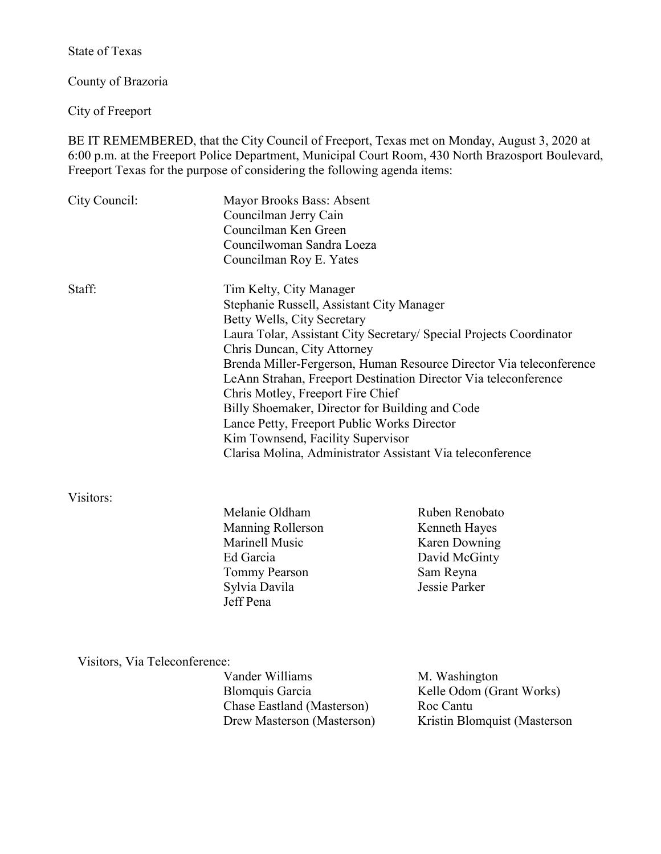State of Texas

County of Brazoria

City of Freeport

BE IT REMEMBERED, that the City Council of Freeport, Texas met on Monday, August 3, 2020 at 6:00 p.m. at the Freeport Police Department, Municipal Court Room, 430 North Brazosport Boulevard, Freeport Texas for the purpose of considering the following agenda items:

| City Council: | Mayor Brooks Bass: Absent<br>Councilman Jerry Cain<br>Councilman Ken Green<br>Councilwoman Sandra Loeza<br>Councilman Roy E. Yates                                                                                                                                                                             |                                                                                                                                                                                                                                                                             |
|---------------|----------------------------------------------------------------------------------------------------------------------------------------------------------------------------------------------------------------------------------------------------------------------------------------------------------------|-----------------------------------------------------------------------------------------------------------------------------------------------------------------------------------------------------------------------------------------------------------------------------|
| Staff:        | Tim Kelty, City Manager<br>Stephanie Russell, Assistant City Manager<br>Betty Wells, City Secretary<br>Chris Duncan, City Attorney<br>Chris Motley, Freeport Fire Chief<br>Billy Shoemaker, Director for Building and Code<br>Lance Petty, Freeport Public Works Director<br>Kim Townsend, Facility Supervisor | Laura Tolar, Assistant City Secretary/ Special Projects Coordinator<br>Brenda Miller-Fergerson, Human Resource Director Via teleconference<br>LeAnn Strahan, Freeport Destination Director Via teleconference<br>Clarisa Molina, Administrator Assistant Via teleconference |
| Visitors:     | Melanie Oldham                                                                                                                                                                                                                                                                                                 | Ruben Renobato                                                                                                                                                                                                                                                              |
|               | Manning Rollerson                                                                                                                                                                                                                                                                                              | Kenneth Hayes                                                                                                                                                                                                                                                               |
|               | Marinell Music                                                                                                                                                                                                                                                                                                 | Karen Downing                                                                                                                                                                                                                                                               |
|               | Ed Garcia                                                                                                                                                                                                                                                                                                      | David McGinty                                                                                                                                                                                                                                                               |
|               | Tommy Pearson                                                                                                                                                                                                                                                                                                  | Sam Reyna                                                                                                                                                                                                                                                                   |

Jeff Pena

Sylvia Davila Jessie Parker

Visitors, Via Teleconference:

| M. Washington                |
|------------------------------|
| Kelle Odom (Grant Works)     |
| Roc Cantu                    |
| Kristin Blomquist (Masterson |
|                              |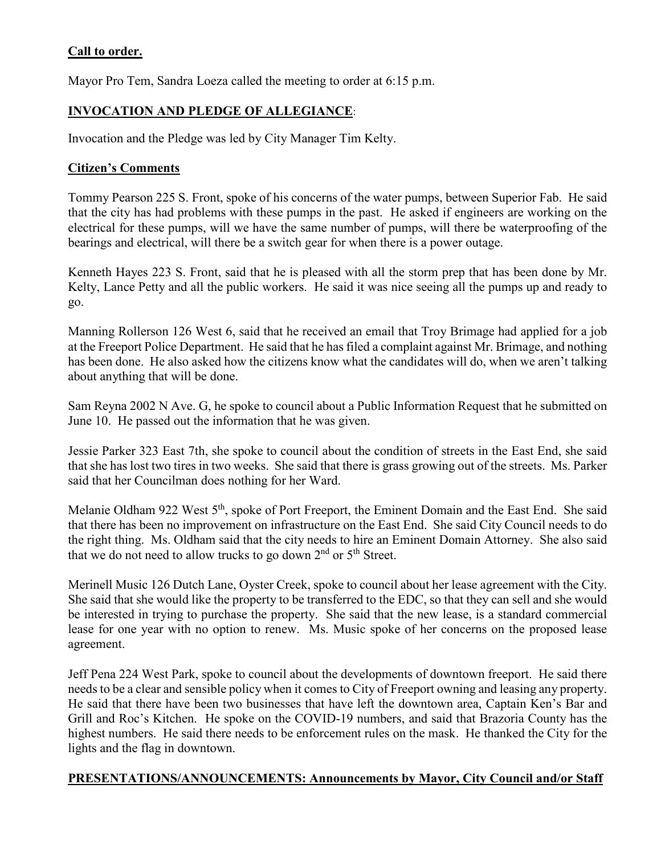# **Call to order.**

Mayor Pro Tem, Sandra Loeza called the meeting to order at 6:15 p.m.

# **INVOCATION AND PLEDGE OF ALLEGIANCE**:

Invocation and the Pledge was led by City Manager Tim Kelty.

#### **Citizen's Comments**

Tommy Pearson 225 S. Front, spoke of his concerns of the water pumps, between Superior Fab. He said that the city has had problems with these pumps in the past. He asked if engineers are working on the electrical for these pumps, will we have the same number of pumps, will there be waterproofing of the bearings and electrical, will there be a switch gear for when there is a power outage.

Kenneth Hayes 223 S. Front, said that he is pleased with all the storm prep that has been done by Mr. Kelty, Lance Petty and all the public workers. He said it was nice seeing all the pumps up and ready to go.

Manning Rollerson 126 West 6, said that he received an email that Troy Brimage had applied for a job at the Freeport Police Department. He said that he has filed a complaint against Mr. Brimage, and nothing has been done. He also asked how the citizens know what the candidates will do, when we aren't talking about anything that will be done.

Sam Reyna 2002 N Ave. G, he spoke to council about a Public Information Request that he submitted on June 10. He passed out the information that he was given.

Jessie Parker 323 East 7th, she spoke to council about the condition of streets in the East End, she said that she has lost two tires in two weeks. She said that there is grass growing out of the streets. Ms. Parker said that her Councilman does nothing for her Ward.

Melanie Oldham 922 West 5<sup>th</sup>, spoke of Port Freeport, the Eminent Domain and the East End. She said that there has been no improvement on infrastructure on the East End. She said City Council needs to do the right thing. Ms. Oldham said that the city needs to hire an Eminent Domain Attorney. She also said that we do not need to allow trucks to go down  $2<sup>nd</sup>$  or  $5<sup>th</sup>$  Street.

Merinell Music 126 Dutch Lane, Oyster Creek, spoke to council about her lease agreement with the City. She said that she would like the property to be transferred to the EDC, so that they can sell and she would be interested in trying to purchase the property. She said that the new lease, is a standard commercial lease for one year with no option to renew. Ms. Music spoke of her concerns on the proposed lease agreement.

Jeff Pena 224 West Park, spoke to council about the developments of downtown freeport. He said there needs to be a clear and sensible policy when it comes to City of Freeport owning and leasing any property. He said that there have been two businesses that have left the downtown area, Captain Ken's Bar and Grill and Roc's Kitchen. He spoke on the COVID-19 numbers, and said that Brazoria County has the highest numbers. He said there needs to be enforcement rules on the mask. He thanked the City for the lights and the flag in downtown.

### **PRESENTATIONS/ANNOUNCEMENTS: Announcements by Mayor, City Council and/or Staff**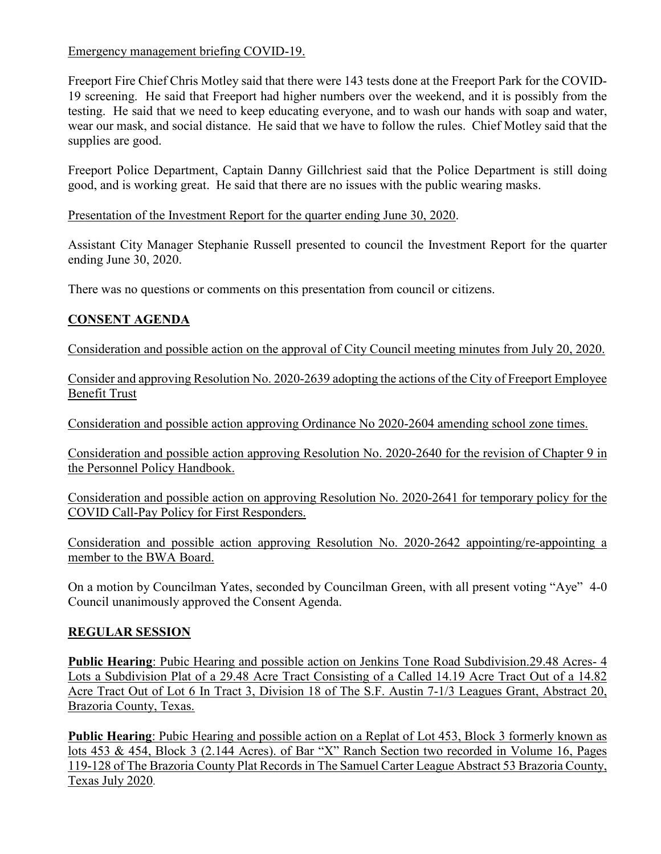Emergency management briefing COVID-19.

Freeport Fire Chief Chris Motley said that there were 143 tests done at the Freeport Park for the COVID-19 screening. He said that Freeport had higher numbers over the weekend, and it is possibly from the testing. He said that we need to keep educating everyone, and to wash our hands with soap and water, wear our mask, and social distance. He said that we have to follow the rules. Chief Motley said that the supplies are good.

Freeport Police Department, Captain Danny Gillchriest said that the Police Department is still doing good, and is working great. He said that there are no issues with the public wearing masks.

Presentation of the Investment Report for the quarter ending June 30, 2020.

Assistant City Manager Stephanie Russell presented to council the Investment Report for the quarter ending June 30, 2020.

There was no questions or comments on this presentation from council or citizens.

# **CONSENT AGENDA**

Consideration and possible action on the approval of City Council meeting minutes from July 20, 2020.

Consider and approving Resolution No. 2020-2639 adopting the actions of the City of Freeport Employee Benefit Trust

Consideration and possible action approving Ordinance No 2020-2604 amending school zone times.

Consideration and possible action approving Resolution No. 2020-2640 for the revision of Chapter 9 in the Personnel Policy Handbook.

Consideration and possible action on approving Resolution No. 2020-2641 for temporary policy for the COVID Call-Pay Policy for First Responders.

Consideration and possible action approving Resolution No. 2020-2642 appointing/re-appointing a member to the BWA Board.

On a motion by Councilman Yates, seconded by Councilman Green, with all present voting "Aye" 4-0 Council unanimously approved the Consent Agenda.

# **REGULAR SESSION**

**Public Hearing**: Pubic Hearing and possible action on Jenkins Tone Road Subdivision.29.48 Acres- 4 Lots a Subdivision Plat of a 29.48 Acre Tract Consisting of a Called 14.19 Acre Tract Out of a 14.82 Acre Tract Out of Lot 6 In Tract 3, Division 18 of The S.F. Austin 7-1/3 Leagues Grant, Abstract 20, Brazoria County, Texas.

**Public Hearing**: Pubic Hearing and possible action on a Replat of Lot 453, Block 3 formerly known as lots 453 & 454, Block 3 (2.144 Acres). of Bar "X" Ranch Section two recorded in Volume 16, Pages 119-128 of The Brazoria County Plat Records in The Samuel Carter League Abstract 53 Brazoria County, Texas July 2020.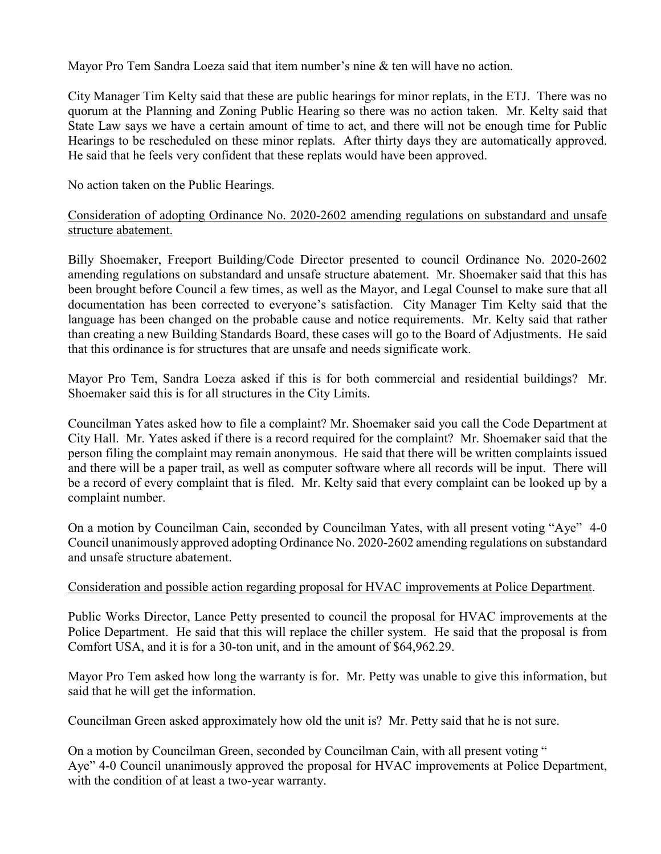Mayor Pro Tem Sandra Loeza said that item number's nine & ten will have no action.

City Manager Tim Kelty said that these are public hearings for minor replats, in the ETJ. There was no quorum at the Planning and Zoning Public Hearing so there was no action taken. Mr. Kelty said that State Law says we have a certain amount of time to act, and there will not be enough time for Public Hearings to be rescheduled on these minor replats. After thirty days they are automatically approved. He said that he feels very confident that these replats would have been approved.

No action taken on the Public Hearings.

### Consideration of adopting Ordinance No. 2020-2602 amending regulations on substandard and unsafe structure abatement.

Billy Shoemaker, Freeport Building/Code Director presented to council Ordinance No. 2020-2602 amending regulations on substandard and unsafe structure abatement. Mr. Shoemaker said that this has been brought before Council a few times, as well as the Mayor, and Legal Counsel to make sure that all documentation has been corrected to everyone's satisfaction. City Manager Tim Kelty said that the language has been changed on the probable cause and notice requirements. Mr. Kelty said that rather than creating a new Building Standards Board, these cases will go to the Board of Adjustments. He said that this ordinance is for structures that are unsafe and needs significate work.

Mayor Pro Tem, Sandra Loeza asked if this is for both commercial and residential buildings? Mr. Shoemaker said this is for all structures in the City Limits.

Councilman Yates asked how to file a complaint? Mr. Shoemaker said you call the Code Department at City Hall. Mr. Yates asked if there is a record required for the complaint? Mr. Shoemaker said that the person filing the complaint may remain anonymous. He said that there will be written complaints issued and there will be a paper trail, as well as computer software where all records will be input. There will be a record of every complaint that is filed. Mr. Kelty said that every complaint can be looked up by a complaint number.

On a motion by Councilman Cain, seconded by Councilman Yates, with all present voting "Aye" 4-0 Council unanimously approved adopting Ordinance No. 2020-2602 amending regulations on substandard and unsafe structure abatement.

#### Consideration and possible action regarding proposal for HVAC improvements at Police Department.

Public Works Director, Lance Petty presented to council the proposal for HVAC improvements at the Police Department. He said that this will replace the chiller system. He said that the proposal is from Comfort USA, and it is for a 30-ton unit, and in the amount of \$64,962.29.

Mayor Pro Tem asked how long the warranty is for. Mr. Petty was unable to give this information, but said that he will get the information.

Councilman Green asked approximately how old the unit is? Mr. Petty said that he is not sure.

On a motion by Councilman Green, seconded by Councilman Cain, with all present voting " Aye" 4-0 Council unanimously approved the proposal for HVAC improvements at Police Department, with the condition of at least a two-year warranty.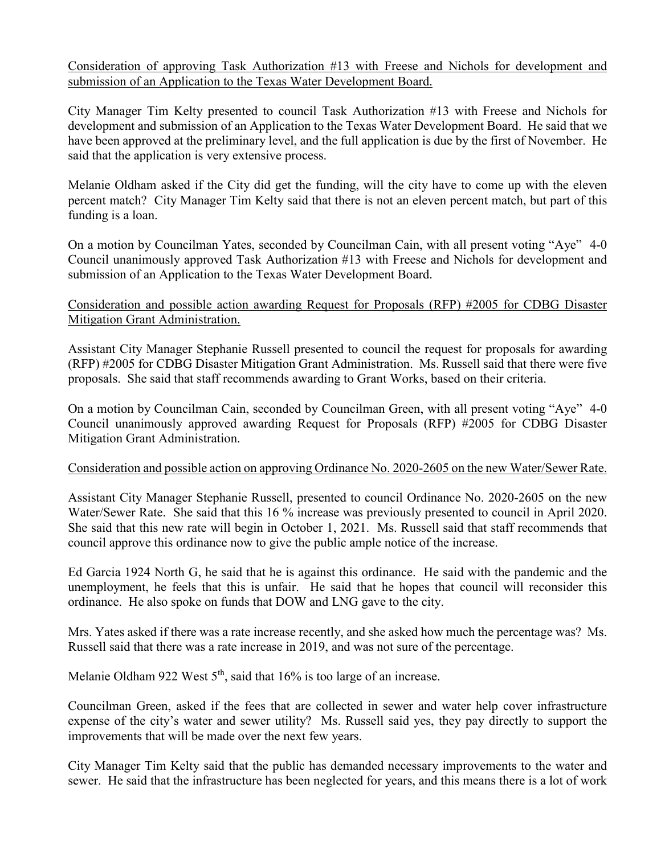Consideration of approving Task Authorization #13 with Freese and Nichols for development and submission of an Application to the Texas Water Development Board.

City Manager Tim Kelty presented to council Task Authorization #13 with Freese and Nichols for development and submission of an Application to the Texas Water Development Board. He said that we have been approved at the preliminary level, and the full application is due by the first of November. He said that the application is very extensive process.

Melanie Oldham asked if the City did get the funding, will the city have to come up with the eleven percent match? City Manager Tim Kelty said that there is not an eleven percent match, but part of this funding is a loan.

On a motion by Councilman Yates, seconded by Councilman Cain, with all present voting "Aye" 4-0 Council unanimously approved Task Authorization #13 with Freese and Nichols for development and submission of an Application to the Texas Water Development Board.

#### Consideration and possible action awarding Request for Proposals (RFP) #2005 for CDBG Disaster Mitigation Grant Administration.

Assistant City Manager Stephanie Russell presented to council the request for proposals for awarding (RFP) #2005 for CDBG Disaster Mitigation Grant Administration. Ms. Russell said that there were five proposals. She said that staff recommends awarding to Grant Works, based on their criteria.

On a motion by Councilman Cain, seconded by Councilman Green, with all present voting "Aye" 4-0 Council unanimously approved awarding Request for Proposals (RFP) #2005 for CDBG Disaster Mitigation Grant Administration.

#### Consideration and possible action on approving Ordinance No. 2020-2605 on the new Water/Sewer Rate.

Assistant City Manager Stephanie Russell, presented to council Ordinance No. 2020-2605 on the new Water/Sewer Rate. She said that this 16 % increase was previously presented to council in April 2020. She said that this new rate will begin in October 1, 2021. Ms. Russell said that staff recommends that council approve this ordinance now to give the public ample notice of the increase.

Ed Garcia 1924 North G, he said that he is against this ordinance. He said with the pandemic and the unemployment, he feels that this is unfair. He said that he hopes that council will reconsider this ordinance. He also spoke on funds that DOW and LNG gave to the city.

Mrs. Yates asked if there was a rate increase recently, and she asked how much the percentage was? Ms. Russell said that there was a rate increase in 2019, and was not sure of the percentage.

Melanie Oldham 922 West  $5<sup>th</sup>$ , said that 16% is too large of an increase.

Councilman Green, asked if the fees that are collected in sewer and water help cover infrastructure expense of the city's water and sewer utility? Ms. Russell said yes, they pay directly to support the improvements that will be made over the next few years.

City Manager Tim Kelty said that the public has demanded necessary improvements to the water and sewer. He said that the infrastructure has been neglected for years, and this means there is a lot of work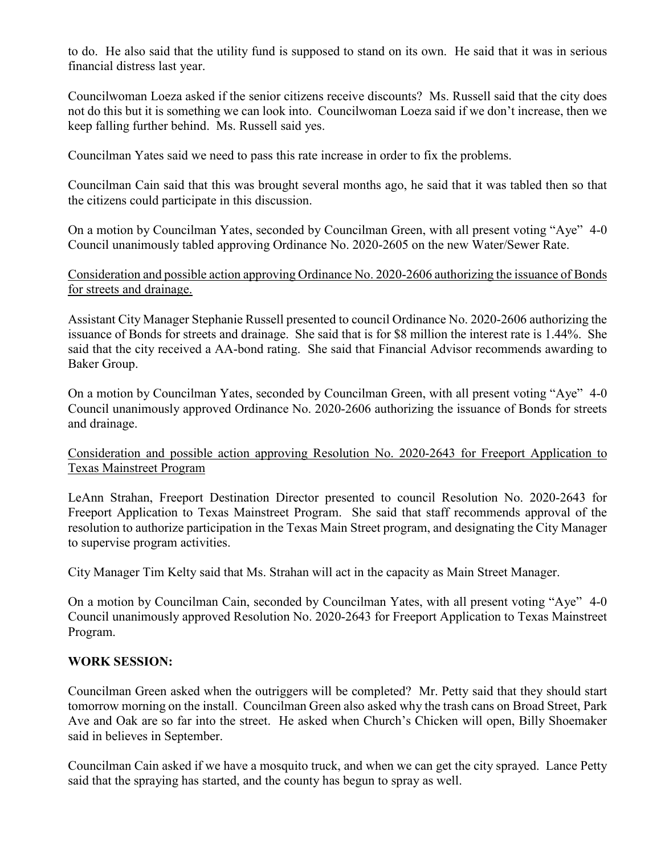to do. He also said that the utility fund is supposed to stand on its own. He said that it was in serious financial distress last year.

Councilwoman Loeza asked if the senior citizens receive discounts? Ms. Russell said that the city does not do this but it is something we can look into. Councilwoman Loeza said if we don't increase, then we keep falling further behind. Ms. Russell said yes.

Councilman Yates said we need to pass this rate increase in order to fix the problems.

Councilman Cain said that this was brought several months ago, he said that it was tabled then so that the citizens could participate in this discussion.

On a motion by Councilman Yates, seconded by Councilman Green, with all present voting "Aye" 4-0 Council unanimously tabled approving Ordinance No. 2020-2605 on the new Water/Sewer Rate.

Consideration and possible action approving Ordinance No. 2020-2606 authorizing the issuance of Bonds for streets and drainage.

Assistant City Manager Stephanie Russell presented to council Ordinance No. 2020-2606 authorizing the issuance of Bonds for streets and drainage. She said that is for \$8 million the interest rate is 1.44%. She said that the city received a AA-bond rating. She said that Financial Advisor recommends awarding to Baker Group.

On a motion by Councilman Yates, seconded by Councilman Green, with all present voting "Aye" 4-0 Council unanimously approved Ordinance No. 2020-2606 authorizing the issuance of Bonds for streets and drainage.

#### Consideration and possible action approving Resolution No. 2020-2643 for Freeport Application to Texas Mainstreet Program

LeAnn Strahan, Freeport Destination Director presented to council Resolution No. 2020-2643 for Freeport Application to Texas Mainstreet Program. She said that staff recommends approval of the resolution to authorize participation in the Texas Main Street program, and designating the City Manager to supervise program activities.

City Manager Tim Kelty said that Ms. Strahan will act in the capacity as Main Street Manager.

On a motion by Councilman Cain, seconded by Councilman Yates, with all present voting "Aye" 4-0 Council unanimously approved Resolution No. 2020-2643 for Freeport Application to Texas Mainstreet Program.

### **WORK SESSION:**

Councilman Green asked when the outriggers will be completed? Mr. Petty said that they should start tomorrow morning on the install. Councilman Green also asked why the trash cans on Broad Street, Park Ave and Oak are so far into the street. He asked when Church's Chicken will open, Billy Shoemaker said in believes in September.

Councilman Cain asked if we have a mosquito truck, and when we can get the city sprayed. Lance Petty said that the spraying has started, and the county has begun to spray as well.